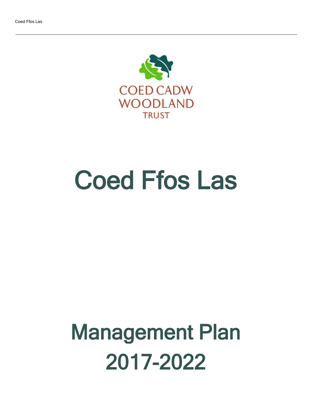

# Coed Ffos Las

# Management Plan 2017-2022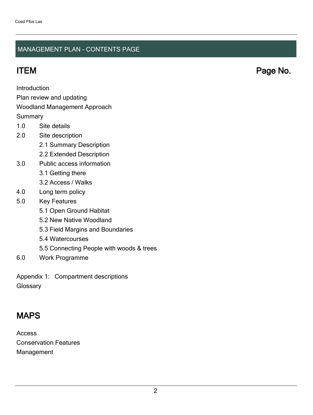#### MANAGEMENT PLAN - CONTENTS PAGE

ITEM Page No.

Introduction

Plan review and updating

#### Woodland Management Approach

**Summary** 

- 1.0 Site details
- 2.0 Site description
	- 2.1 Summary Description
	- 2.2 Extended Description
- 3.0 Public access information
	- 3.1 Getting there
	- 3.2 Access / Walks
- 4.0 Long term policy
- 5.0 Key Features
	- 5.1 Open Ground Habitat
	- 5.2 New Native Woodland
	- 5.3 Field Margins and Boundaries
	- 5.4 Watercourses
	- 5.5 Connecting People with woods & trees
- 6.0 Work Programme

Appendix 1: Compartment descriptions **Glossary** 

# MAPS

Access Conservation Features Management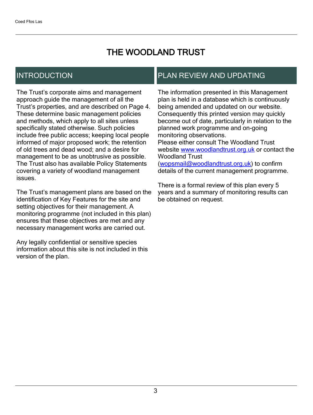# THE WOODLAND TRUST

## INTRODUCTION

The Trust's corporate aims and management approach guide the management of all the Trust's properties, and are described on Page 4. These determine basic management policies and methods, which apply to all sites unless specifically stated otherwise. Such policies include free public access; keeping local people informed of major proposed work; the retention of old trees and dead wood; and a desire for management to be as unobtrusive as possible. The Trust also has available Policy Statements covering a variety of woodland management issues.

The Trust's management plans are based on the identification of Key Features for the site and setting objectives for their management. A monitoring programme (not included in this plan) ensures that these objectives are met and any necessary management works are carried out.

Any legally confidential or sensitive species information about this site is not included in this version of the plan.

## PLAN REVIEW AND UPDATING

The information presented in this Management plan is held in a database which is continuously being amended and updated on our website. Consequently this printed version may quickly become out of date, particularly in relation to the planned work programme and on-going monitoring observations. Please either consult The Woodland Trust website [www.woodlandtrust.org.uk](http://www.woodlandtrust.org.uk/) or contact the Woodland Trust [\(wopsmail@woodlandtrust.org.uk](mailto:wopsmail@woodlandtrust.org.uk)) to confirm

details of the current management programme.

There is a formal review of this plan every 5 years and a summary of monitoring results can be obtained on request.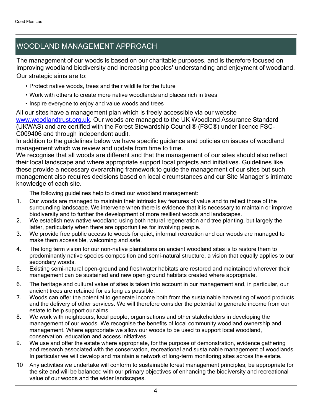# WOODLAND MANAGEMENT APPROACH

The management of our woods is based on our charitable purposes, and is therefore focused on improving woodland biodiversity and increasing peoples' understanding and enjoyment of woodland. Our strategic aims are to:

- Protect native woods, trees and their wildlife for the future
- Work with others to create more native woodlands and places rich in trees
- Inspire everyone to enjoy and value woods and trees

All our sites have a management plan which is freely accessible via our website [www.woodlandtrust.org.uk.](http://www.woodlandtrust.org.uk/) Our woods are managed to the UK Woodland Assurance Standard (UKWAS) and are certified with the Forest Stewardship Council® (FSC®) under licence FSC-C009406 and through independent audit.

In addition to the guidelines below we have specific guidance and policies on issues of woodland management which we review and update from time to time.

We recognise that all woods are different and that the management of our sites should also reflect their local landscape and where appropriate support local projects and initiatives. Guidelines like these provide a necessary overarching framework to guide the management of our sites but such management also requires decisions based on local circumstances and our Site Manager's intimate knowledge of each site.

The following guidelines help to direct our woodland management:

- 1. Our woods are managed to maintain their intrinsic key features of value and to reflect those of the surrounding landscape. We intervene when there is evidence that it is necessary to maintain or improve biodiversity and to further the development of more resilient woods and landscapes.
- 2. We establish new native woodland using both natural regeneration and tree planting, but largely the latter, particularly when there are opportunities for involving people.
- 3. We provide free public access to woods for quiet, informal recreation and our woods are managed to make them accessible, welcoming and safe.
- 4. The long term vision for our non-native plantations on ancient woodland sites is to restore them to predominantly native species composition and semi-natural structure, a vision that equally applies to our secondary woods.
- 5. Existing semi-natural open-ground and freshwater habitats are restored and maintained wherever their management can be sustained and new open ground habitats created where appropriate.
- 6. The heritage and cultural value of sites is taken into account in our management and, in particular, our ancient trees are retained for as long as possible.
- 7. Woods can offer the potential to generate income both from the sustainable harvesting of wood products and the delivery of other services. We will therefore consider the potential to generate income from our estate to help support our aims.
- 8. We work with neighbours, local people, organisations and other stakeholders in developing the management of our woods. We recognise the benefits of local community woodland ownership and management. Where appropriate we allow our woods to be used to support local woodland, conservation, education and access initiatives.
- 9. We use and offer the estate where appropriate, for the purpose of demonstration, evidence gathering and research associated with the conservation, recreational and sustainable management of woodlands. In particular we will develop and maintain a network of long-term monitoring sites across the estate.
- 10 Any activities we undertake will conform to sustainable forest management principles, be appropriate for the site and will be balanced with our primary objectives of enhancing the biodiversity and recreational value of our woods and the wider landscapes.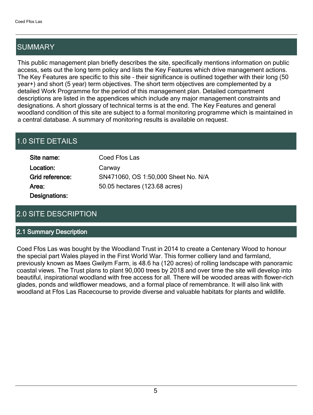# SUMMARY

This public management plan briefly describes the site, specifically mentions information on public access, sets out the long term policy and lists the Key Features which drive management actions. The Key Features are specific to this site - their significance is outlined together with their long (50 year+) and short (5 year) term objectives. The short term objectives are complemented by a detailed Work Programme for the period of this management plan. Detailed compartment descriptions are listed in the appendices which include any major management constraints and designations. A short glossary of technical terms is at the end. The Key Features and general woodland condition of this site are subject to a formal monitoring programme which is maintained in a central database. A summary of monitoring results is available on request.

# 1.0 SITE DETAILS

| Site name:      | Coed Ffos Las                       |
|-----------------|-------------------------------------|
| Location:       | Carway                              |
| Grid reference: | SN471060, OS 1:50,000 Sheet No. N/A |
| Area:           | 50.05 hectares (123.68 acres)       |
| Designations:   |                                     |

# 2.0 SITE DESCRIPTION

#### 2.1 Summary Description

Coed Ffos Las was bought by the Woodland Trust in 2014 to create a Centenary Wood to honour the special part Wales played in the First World War. This former colliery land and farmland, previously known as Maes Gwilym Farm, is 48.6 ha (120 acres) of rolling landscape with panoramic coastal views. The Trust plans to plant 90,000 trees by 2018 and over time the site will develop into beautiful, inspirational woodland with free access for all. There will be wooded areas with flower-rich glades, ponds and wildflower meadows, and a formal place of remembrance. It will also link with woodland at Ffos Las Racecourse to provide diverse and valuable habitats for plants and wildlife.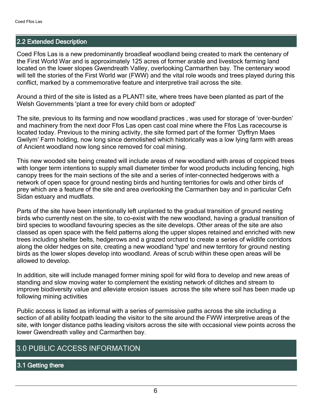#### 2.2 Extended Description

Coed Ffos Las is a new predominantly broadleaf woodland being created to mark the centenary of the First World War and is approximately 125 acres of former arable and livestock farming land located on the lower slopes Gwendreath Valley, overlooking Carmarthen bay. The centenary wood will tell the stories of the First World war (FWW) and the vital role woods and trees played during this conflict, marked by a commemorative feature and interpretive trail across the site.

Around a third of the site is listed as a PLANT! site, where trees have been planted as part of the Welsh Governments 'plant a tree for every child born or adopted'

The site, previous to its farming and now woodland practices, was used for storage of 'over-burden' and machinery from the next door Ffos Las open cast coal mine where the Ffos Las racecourse is located today. Previous to the mining activity, the site formed part of the former 'Dyffryn Maes Gwilym' Farm holding, now long since demolished which historically was a low lying farm with areas of Ancient woodland now long since removed for coal mining.

This new wooded site being created will include areas of new woodland with areas of coppiced trees with longer term intentions to supply small diameter timber for wood products including fencing, high canopy trees for the main sections of the site and a series of inter-connected hedgerows with a network of open space for ground nesting birds and hunting territories for owls and other birds of prey which are a feature of the site and area overlooking the Carmarthen bay and in particular Cefn Sidan estuary and mudflats.

Parts of the site have been intentionally left unplanted to the gradual transition of ground nesting birds who currently nest on the site, to co-exist with the new woodland, having a gradual transition of bird species to woodland favouring species as the site develops. Other areas of the site are also classed as open space with the field patterns along the upper slopes retained and enriched with new trees including shelter belts, hedgerows and a grazed orchard to create a series of wildlife corridors along the older hedges on site, creating a new woodland 'type' and new territory for ground nesting birds as the lower slopes develop into woodland. Areas of scrub within these open areas will be allowed to develop.

In addition, site will include managed former mining spoil for wild flora to develop and new areas of standing and slow moving water to complement the existing network of ditches and stream to improve biodiversity value and alleviate erosion issues across the site where soil has been made up following mining activities

Public access is listed as informal with a series of permissive paths across the site including a section of all ability footpath leading the visitor to the site around the FWW interpretive areas of the site, with longer distance paths leading visitors across the site with occasional view points across the lower Gwendreath valley and Carmarthen bay.

### 3.0 PUBLIC ACCESS INFORMATION

#### 3.1 Getting there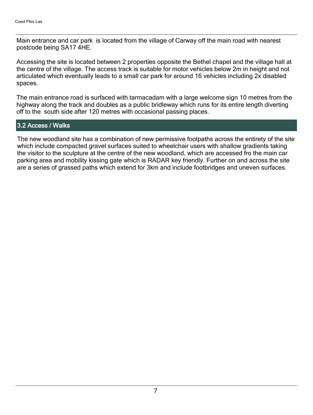Main entrance and car park is located from the village of Carway off the main road with nearest postcode being SA17 4HE.

Accessing the site is located between 2 properties opposite the Bethel chapel and the village hall at the centre of the village. The access track is suitable for motor vehicles below 2m in height and not articulated which eventually leads to a small car park for around 16 vehicles including 2x disabled spaces.

The main entrance road is surfaced with tarmacadam with a large welcome sign 10 metres from the highway along the track and doubles as a public bridleway which runs for its entire length diverting off to the south side after 120 metres with occasional passing places.

#### 3.2 Access / Walks

The new woodland site has a combination of new permissive footpaths across the entirety of the site which include compacted gravel surfaces suited to wheelchair users with shallow gradients taking the visitor to the sculpture at the centre of the new woodland, which are accessed fro the main car parking area and mobility kissing gate which is RADAR key friendly. Further on and across the site are a series of grassed paths which extend for 3km and include footbridges and uneven surfaces.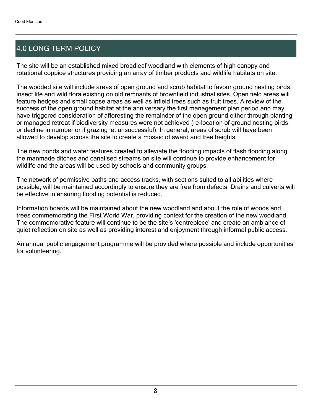# 4.0 LONG TERM POLICY

The site will be an established mixed broadleaf woodland with elements of high canopy and rotational coppice structures providing an array of timber products and wildlife habitats on site.

The wooded site will include areas of open ground and scrub habitat to favour ground nesting birds, insect life and wild flora existing on old remnants of brownfield industrial sites. Open field areas will feature hedges and small copse areas as well as infield trees such as fruit trees. A review of the success of the open ground habitat at the anniversary the first management plan period and may have triggered consideration of afforesting the remainder of the open ground either through planting or managed retreat if biodiversity measures were not achieved (re-location of ground nesting birds or decline in number or if grazing let unsuccessful). In general, areas of scrub will have been allowed to develop across the site to create a mosaic of sward and tree heights.

The new ponds and water features created to alleviate the flooding impacts of flash flooding along the manmade ditches and canalised streams on site will continue to provide enhancement for wildlife and the areas will be used by schools and community groups.

The network of permissive paths and access tracks, with sections suited to all abilities where possible, will be maintained accordingly to ensure they are free from defects. Drains and culverts will be effective in ensuring flooding potential is reduced.

Information boards will be maintained about the new woodland and about the role of woods and trees commemorating the First World War, providing context for the creation of the new woodland. The commemorative feature will continue to be the site's 'centrepiece' and create an ambiance of quiet reflection on site as well as providing interest and enjoyment through informal public access.

An annual public engagement programme will be provided where possible and include opportunities for volunteering.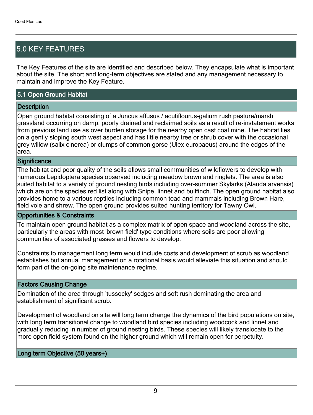# 5.0 KEY FEATURES

The Key Features of the site are identified and described below. They encapsulate what is important about the site. The short and long-term objectives are stated and any management necessary to maintain and improve the Key Feature.

#### 5.1 Open Ground Habitat

#### **Description**

Open ground habitat consisting of a Juncus affusus / acutiflourus-galium rush pasture/marsh grassland occurring on damp, poorly drained and reclaimed soils as a result of re-instatement works from previous land use as over burden storage for the nearby open cast coal mine. The habitat lies on a gently sloping south west aspect and has little nearby tree or shrub cover with the occasional grey willow (salix cinerea) or clumps of common gorse (Ulex europaeus) around the edges of the area.

#### **Significance**

The habitat and poor quality of the soils allows small communities of wildflowers to develop with numerous Lepidoptera species observed including meadow brown and ringlets. The area is also suited habitat to a variety of ground nesting birds including over-summer Skylarks (Alauda arvensis) which are on the species red list along with Snipe, linnet and bullfinch. The open ground habitat also provides home to a various reptiles including common toad and mammals including Brown Hare, field vole and shrew. The open ground provides suited hunting territory for Tawny Owl.

#### Opportunities & Constraints

To maintain open ground habitat as a complex matrix of open space and woodland across the site, particularly the areas with most 'brown field' type conditions where soils are poor allowing communities of associated grasses and flowers to develop.

Constraints to management long term would include costs and development of scrub as woodland establishes but annual management on a rotational basis would alleviate this situation and should form part of the on-going site maintenance regime.

#### Factors Causing Change

Domination of the area through 'tussocky' sedges and soft rush dominating the area and establishment of significant scrub.

Development of woodland on site will long term change the dynamics of the bird populations on site, with long term transitional change to woodland bird species including woodcock and linnet and gradually reducing in number of ground nesting birds. These species will likely translocate to the more open field system found on the higher ground which will remain open for perpetuity.

#### Long term Objective (50 years+)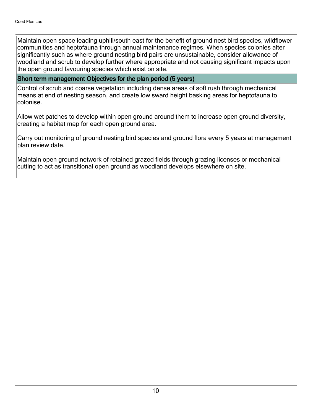Maintain open space leading uphill/south east for the benefit of ground nest bird species, wildflower communities and heptofauna through annual maintenance regimes. When species colonies alter significantly such as where ground nesting bird pairs are unsustainable, consider allowance of woodland and scrub to develop further where appropriate and not causing significant impacts upon the open ground favouring species which exist on site.

#### Short term management Objectives for the plan period (5 years)

Control of scrub and coarse vegetation including dense areas of soft rush through mechanical means at end of nesting season, and create low sward height basking areas for heptofauna to colonise.

Allow wet patches to develop within open ground around them to increase open ground diversity, creating a habitat map for each open ground area.

Carry out monitoring of ground nesting bird species and ground flora every 5 years at management plan review date.

Maintain open ground network of retained grazed fields through grazing licenses or mechanical cutting to act as transitional open ground as woodland develops elsewhere on site.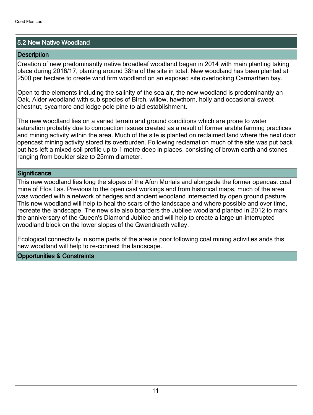#### 5.2 New Native Woodland

#### **Description**

Creation of new predominantly native broadleaf woodland began in 2014 with main planting taking place during 2016/17, planting around 38ha of the site in total. New woodland has been planted at 2500 per hectare to create wind firm woodland on an exposed site overlooking Carmarthen bay.

Open to the elements including the salinity of the sea air, the new woodland is predominantly an Oak, Alder woodland with sub species of Birch, willow, hawthorn, holly and occasional sweet chestnut, sycamore and lodge pole pine to aid establishment.

The new woodland lies on a varied terrain and ground conditions which are prone to water saturation probably due to compaction issues created as a result of former arable farming practices and mining activity within the area. Much of the site is planted on reclaimed land where the next door opencast mining activity stored its overburden. Following reclamation much of the site was put back but has left a mixed soil profile up to 1 metre deep in places, consisting of brown earth and stones ranging from boulder size to 25mm diameter.

#### **Significance**

This new woodland lies long the slopes of the Afon Morlais and alongside the former opencast coal mine of Ffos Las. Previous to the open cast workings and from historical maps, much of the area was wooded with a network of hedges and ancient woodland intersected by open ground pasture. This new woodland will help to heal the scars of the landscape and where possible and over time, recreate the landscape. The new site also boarders the Jubilee woodland planted in 2012 to mark the anniversary of the Queen's Diamond Jubilee and will help to create a large un-interrupted woodland block on the lower slopes of the Gwendraeth valley.

Ecological connectivity in some parts of the area is poor following coal mining activities ands this new woodland will help to re-connect the landscape.

#### Opportunities & Constraints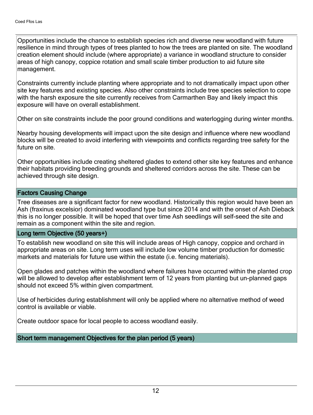Opportunities include the chance to establish species rich and diverse new woodland with future resilience in mind through types of trees planted to how the trees are planted on site. The woodland creation element should include (where appropriate) a variance in woodland structure to consider areas of high canopy, coppice rotation and small scale timber production to aid future site management.

Constraints currently include planting where appropriate and to not dramatically impact upon other site key features and existing species. Also other constraints include tree species selection to cope with the harsh exposure the site currently receives from Carmarthen Bay and likely impact this exposure will have on overall establishment.

Other on site constraints include the poor ground conditions and waterlogging during winter months.

Nearby housing developments will impact upon the site design and influence where new woodland blocks will be created to avoid interfering with viewpoints and conflicts regarding tree safety for the future on site.

Other opportunities include creating sheltered glades to extend other site key features and enhance their habitats providing breeding grounds and sheltered corridors across the site. These can be achieved through site design.

#### Factors Causing Change

Tree diseases are a significant factor for new woodland. Historically this region would have been an Ash (fraxinus excelsior) dominated woodland type but since 2014 and with the onset of Ash Dieback this is no longer possible. It will be hoped that over time Ash seedlings will self-seed the site and remain as a component within the site and region.

#### Long term Objective (50 years+)

To establish new woodland on site this will include areas of High canopy, coppice and orchard in appropriate areas on site. Long term uses will include low volume timber production for domestic markets and materials for future use within the estate (i.e. fencing materials).

Open glades and patches within the woodland where failures have occurred within the planted crop will be allowed to develop after establishment term of 12 years from planting but un-planned gaps should not exceed 5% within given compartment.

Use of herbicides during establishment will only be applied where no alternative method of weed control is available or viable.

Create outdoor space for local people to access woodland easily.

Short term management Objectives for the plan period (5 years)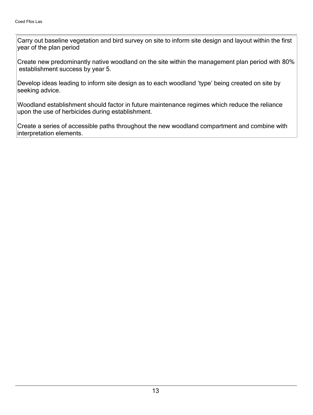Carry out baseline vegetation and bird survey on site to inform site design and layout within the first year of the plan period

Create new predominantly native woodland on the site within the management plan period with 80% establishment success by year 5.

Develop ideas leading to inform site design as to each woodland 'type' being created on site by seeking advice.

Woodland establishment should factor in future maintenance regimes which reduce the reliance upon the use of herbicides during establishment.

Create a series of accessible paths throughout the new woodland compartment and combine with interpretation elements.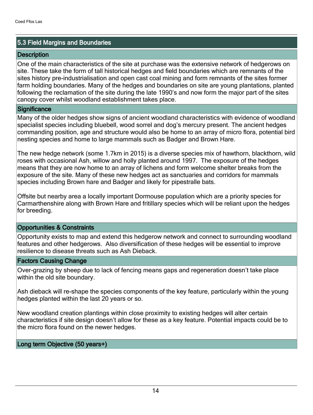#### 5.3 Field Margins and Boundaries

#### **Description**

One of the main characteristics of the site at purchase was the extensive network of hedgerows on site. These take the form of tall historical hedges and field boundaries which are remnants of the sites history pre-industrialisation and open cast coal mining and form remnants of the sites former farm holding boundaries. Many of the hedges and boundaries on site are young plantations, planted following the reclamation of the site during the late 1990's and now form the major part of the sites canopy cover whilst woodland establishment takes place.

#### **Significance**

Many of the older hedges show signs of ancient woodland characteristics with evidence of woodland specialist species including bluebell, wood sorrel and dog's mercury present. The ancient hedges commanding position, age and structure would also be home to an array of micro flora, potential bird nesting species and home to large mammals such as Badger and Brown Hare.

The new hedge network (some 1.7km in 2015) is a diverse species mix of hawthorn, blackthorn, wild roses with occasional Ash, willow and holly planted around 1997. The exposure of the hedges means that they are now home to an array of lichens and form welcome shelter breaks from the exposure of the site. Many of these new hedges act as sanctuaries and corridors for mammals species including Brown hare and Badger and likely for pipestralle bats.

Offsite but nearby area a locally important Dormouse population which are a priority species for Carmarthenshire along with Brown Hare and fritillary species which will be reliant upon the hedges for breeding.

#### Opportunities & Constraints

Opportunity exists to map and extend this hedgerow network and connect to surrounding woodland features and other hedgerows. Also diversification of these hedges will be essential to improve resilience to disease threats such as Ash Dieback.

#### Factors Causing Change

Over-grazing by sheep due to lack of fencing means gaps and regeneration doesn't take place within the old site boundary.

Ash dieback will re-shape the species components of the key feature, particularly within the young hedges planted within the last 20 years or so.

New woodland creation plantings within close proximity to existing hedges will alter certain characteristics if site design doesn't allow for these as a key feature. Potential impacts could be to the micro flora found on the newer hedges.

#### Long term Objective (50 years+)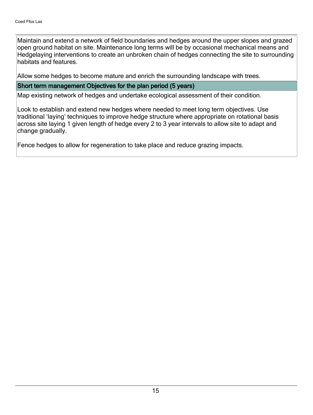Maintain and extend a network of field boundaries and hedges around the upper slopes and grazed open ground habitat on site. Maintenance long terms will be by occasional mechanical means and Hedgelaying interventions to create an unbroken chain of hedges connecting the site to surrounding habitats and features.

Allow some hedges to become mature and enrich the surrounding landscape with trees.

#### Short term management Objectives for the plan period (5 years)

Map existing network of hedges and undertake ecological assessment of their condition.

Look to establish and extend new hedges where needed to meet long term objectives. Use traditional 'laying' techniques to improve hedge structure where appropriate on rotational basis across site laying 1 given length of hedge every 2 to 3 year intervals to allow site to adapt and change gradually.

Fence hedges to allow for regeneration to take place and reduce grazing impacts.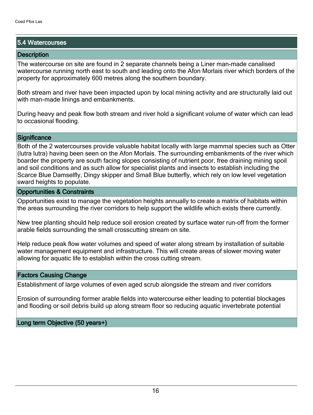#### 5.4 Watercourses

#### **Description**

The watercourse on site are found in 2 separate channels being a Liner man-made canalised watercourse running north east to south and leading onto the Afon Morlais river which borders of the property for approximately 600 metres along the southern boundary.

Both stream and river have been impacted upon by local mining activity and are structurally laid out with man-made linings and embankments.

During heavy and peak flow both stream and river hold a significant volume of water which can lead to occasional flooding.

#### **Significance**

Both of the 2 watercourses provide valuable habitat locally with large mammal species such as Otter (lutra lutra) having been seen on the Afon Morlais. The surrounding embankments of the river which boarder the property are south facing slopes consisting of nutrient poor, free draining mining spoil and soil conditions and as such allow for specialist plants and insects to establish including the Scarce Blue Damselfly, Dingy skipper and Small Blue butterfly, which rely on low level vegetation sward heights to populate.

#### Opportunities & Constraints

Opportunities exist to manage the vegetation heights annually to create a matrix of habitats within the areas surrounding the river corridors to help support the wildlife which exists there currently.

New tree planting should help reduce soil erosion created by surface water run-off from the former arable fields surrounding the small crosscutting stream on site.

Help reduce peak flow water volumes and speed of water along stream by installation of suitable water management equipment and infrastructure. This will create areas of slower moving water allowing for aquatic life to establish within the cross cutting stream.

#### Factors Causing Change

Establishment of large volumes of even aged scrub alongside the stream and river corridors

Erosion of surrounding former arable fields into watercourse either leading to potential blockages and flooding or soil debris build up along stream floor so reducing aquatic invertebrate potential

Long term Objective (50 years+)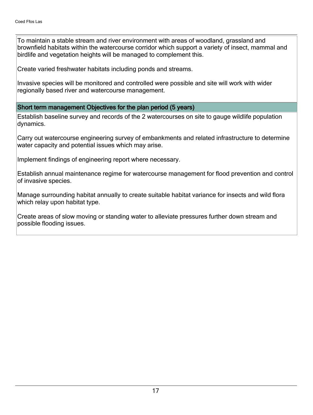To maintain a stable stream and river environment with areas of woodland, grassland and brownfield habitats within the watercourse corridor which support a variety of insect, mammal and birdlife and vegetation heights will be managed to complement this.

Create varied freshwater habitats including ponds and streams.

Invasive species will be monitored and controlled were possible and site will work with wider regionally based river and watercourse management.

#### Short term management Objectives for the plan period (5 years)

Establish baseline survey and records of the 2 watercourses on site to gauge wildlife population dynamics.

Carry out watercourse engineering survey of embankments and related infrastructure to determine water capacity and potential issues which may arise.

Implement findings of engineering report where necessary.

Establish annual maintenance regime for watercourse management for flood prevention and control of invasive species.

Manage surrounding habitat annually to create suitable habitat variance for insects and wild flora which relay upon habitat type.

Create areas of slow moving or standing water to alleviate pressures further down stream and possible flooding issues.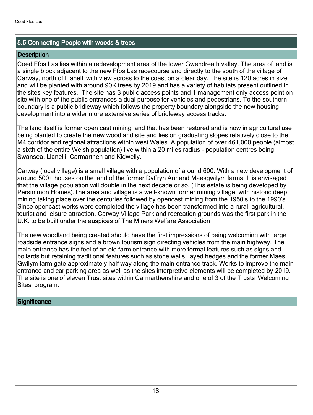#### 5.5 Connecting People with woods & trees

#### **Description**

Coed Ffos Las lies within a redevelopment area of the lower Gwendreath valley. The area of land is a single block adjacent to the new Ffos Las racecourse and directly to the south of the village of Carway, north of Llanelli with view across to the coast on a clear day. The site is 120 acres in size and will be planted with around 90K trees by 2019 and has a variety of habitats present outlined in the sites key features. The site has 3 public access points and 1 management only access point on site with one of the public entrances a dual purpose for vehicles and pedestrians. To the southern boundary is a public bridleway which follows the property boundary alongside the new housing development into a wider more extensive series of bridleway access tracks.

The land itself is former open cast mining land that has been restored and is now in agricultural use being planted to create the new woodland site and lies on graduating slopes relatively close to the M4 corridor and regional attractions within west Wales. A population of over 461,000 people (almost a sixth of the entire Welsh population) live within a 20 miles radius - population centres being Swansea, Llanelli, Carmarthen and Kidwelly.

Carway (local village) is a small village with a population of around 600. With a new development of around 500+ houses on the land of the former Dyffryn Aur and Maesgwilym farms. It is envisaged that the village population will double in the next decade or so. (This estate is being developed by Persimmon Homes).The area and village is a well-known former mining village, with historic deep mining taking place over the centuries followed by opencast mining from the 1950's to the 1990's . Since opencast works were completed the village has been transformed into a rural, agricultural, tourist and leisure attraction. Carway Village Park and recreation grounds was the first park in the U.K. to be built under the auspices of The Miners Welfare Association

The new woodland being created should have the first impressions of being welcoming with large roadside entrance signs and a brown tourism sign directing vehicles from the main highway. The main entrance has the feel of an old farm entrance with more formal features such as signs and bollards but retaining traditional features such as stone walls, layed hedges and the former Maes Gwilym farm gate approximately half way along the main entrance track. Works to improve the main entrance and car parking area as well as the sites interpretive elements will be completed by 2019. The site is one of eleven Trust sites within Carmarthenshire and one of 3 of the Trusts 'Welcoming Sites' program.

#### **Significance**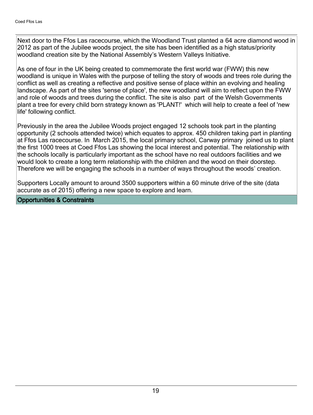Next door to the Ffos Las racecourse, which the Woodland Trust planted a 64 acre diamond wood in 2012 as part of the Jubilee woods project, the site has been identified as a high status/priority woodland creation site by the National Assembly's Western Valleys Initiative.

As one of four in the UK being created to commemorate the first world war (FWW) this new woodland is unique in Wales with the purpose of telling the story of woods and trees role during the conflict as well as creating a reflective and positive sense of place within an evolving and healing landscape. As part of the sites 'sense of place', the new woodland will aim to reflect upon the FWW and role of woods and trees during the conflict. The site is also part of the Welsh Governments plant a tree for every child born strategy known as 'PLANT!' which will help to create a feel of 'new life' following conflict.

Previously in the area the Jubilee Woods project engaged 12 schools took part in the planting opportunity (2 schools attended twice) which equates to approx. 450 children taking part in planting at Ffos Las racecourse. In March 2015, the local primary school, Carway primary joined us to plant the first 1000 trees at Coed Ffos Las showing the local interest and potential. The relationship with the schools locally is particularly important as the school have no real outdoors facilities and we would look to create a long term relationship with the children and the wood on their doorstep. Therefore we will be engaging the schools in a number of ways throughout the woods' creation.

Supporters Locally amount to around 3500 supporters within a 60 minute drive of the site (data accurate as of 2015) offering a new space to explore and learn.

#### Opportunities & Constraints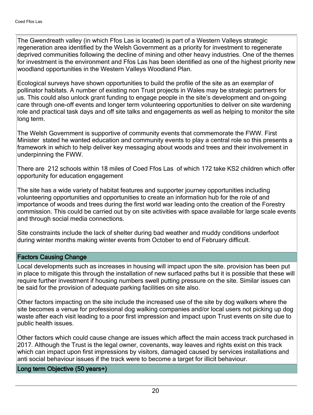The Gwendreath valley (in which Ffos Las is located) is part of a Western Valleys strategic regeneration area identified by the Welsh Government as a priority for investment to regenerate deprived communities following the decline of mining and other heavy industries. One of the themes for investment is the environment and Ffos Las has been identified as one of the highest priority new woodland opportunities in the Western Valleys Woodland Plan.

Ecological surveys have shown opportunities to build the profile of the site as an exemplar of pollinator habitats. A number of existing non Trust projects in Wales may be strategic partners for us. This could also unlock grant funding to engage people in the site's development and on-going care through one-off events and longer term volunteering opportunities to deliver on site wardening role and practical task days and off site talks and engagements as well as helping to monitor the site long term.

The Welsh Government is supportive of community events that commemorate the FWW. First Minister stated he wanted education and community events to play a central role so this presents a framework in which to help deliver key messaging about woods and trees and their involvement in underpinning the FWW.

There are 212 schools within 18 miles of Coed Ffos Las of which 172 take KS2 children which offer opportunity for education engagement

The site has a wide variety of habitat features and supporter journey opportunities including volunteering opportunities and opportunities to create an information hub for the role of and importance of woods and trees during the first world war leading onto the creation of the Forestry commission. This could be carried out by on site activities with space available for large scale events and through social media connections.

Site constraints include the lack of shelter during bad weather and muddy conditions underfoot during winter months making winter events from October to end of February difficult.

#### Factors Causing Change

Local developments such as increases in housing will impact upon the site. provision has been put in place to mitigate this through the installation of new surfaced paths but it is possible that these will require further investment if housing numbers swell putting pressure on the site. Similar issues can be said for the provision of adequate parking facilities on site also.

Other factors impacting on the site include the increased use of the site by dog walkers where the site becomes a venue for professional dog walking companies and/or local users not picking up dog waste after each visit leading to a poor first impression and impact upon Trust events on site due to public health issues.

Other factors which could cause change are issues which affect the main access track purchased in 2017. Although the Trust is the legal owner, covenants, way leaves and rights exist on this track which can impact upon first impressions by visitors, damaged caused by services installations and anti social behaviour issues if the track were to become a target for illicit behaviour.

#### Long term Objective (50 years+)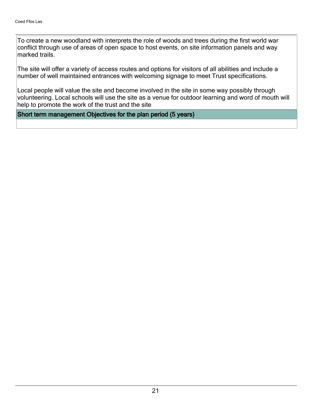To create a new woodland with interprets the role of woods and trees during the first world war conflict through use of areas of open space to host events, on site information panels and way marked trails.

The site will offer a variety of access routes and options for visitors of all abilities and include a number of well maintained entrances with welcoming signage to meet Trust specifications.

Local people will value the site and become involved in the site in some way possibly through volunteering. Local schools will use the site as a venue for outdoor learning and word of mouth will help to promote the work of the trust and the site

#### Short term management Objectives for the plan period (5 years)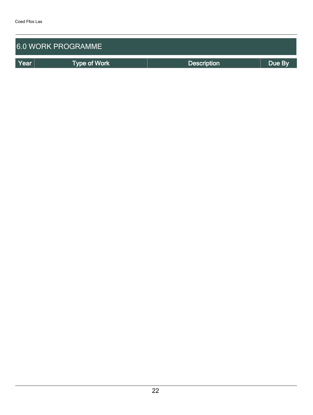|      | 6.0 WORK PROGRAMME  |                    |        |
|------|---------------------|--------------------|--------|
| Year | <b>Type of Work</b> | <b>Description</b> | Due By |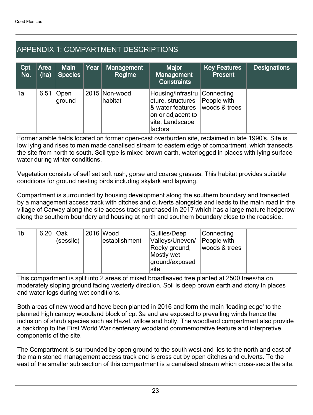# APPENDIX 1: COMPARTMENT DESCRIPTIONS

| Cpt<br>No. | Area<br>(ha) | <b>Main</b><br><b>Species</b> | Year | Management<br>Regime     | <b>Major</b><br>Management<br><b>Constraints</b>                                                                                                       | <b>Key Features</b><br><b>Present</b> | <b>Designations</b> |
|------------|--------------|-------------------------------|------|--------------------------|--------------------------------------------------------------------------------------------------------------------------------------------------------|---------------------------------------|---------------------|
| 1a         | 6.51         | Open<br>ground                |      | 2015 Non-wood<br>habitat | Housing/infrastru Connecting<br>cture, structures   People with<br>& water features   woods & trees<br>on or adjacent to<br>site, Landscape<br>factors |                                       |                     |

Former arable fields located on former open-cast overburden site, reclaimed in late 1990's. Site is low lying and rises to man made canalised stream to eastern edge of compartment, which transects the site from north to south. Soil type is mixed brown earth, waterlogged in places with lying surface water during winter conditions.

Vegetation consists of self set soft rush, gorse and coarse grasses. This habitat provides suitable conditions for ground nesting birds including skylark and lapwing.

Compartment is surrounded by housing development along the southern boundary and transected by a management access track with ditches and culverts alongside and leads to the main road in the village of Carway along the site access track purchased in 2017 which has a large mature hedgerow along the southern boundary and housing at north and southern boundary close to the roadside.

| '1b | 6.20 Oak |           | 2016 Wood     | Gullies/Deep    | Connecting    |  |
|-----|----------|-----------|---------------|-----------------|---------------|--|
|     |          | (sessile) | establishment | Valleys/Uneven/ | People with   |  |
|     |          |           |               | Rocky ground,   | woods & trees |  |
|     |          |           |               | Mostly wet      |               |  |
|     |          |           |               | ground/exposed  |               |  |
|     |          |           |               | site            |               |  |

This compartment is split into 2 areas of mixed broadleaved tree planted at 2500 trees/ha on moderately sloping ground facing westerly direction. Soil is deep brown earth and stony in places and water-logs during wet conditions.

Both areas of new woodland have been planted in 2016 and form the main 'leading edge' to the planned high canopy woodland block of cpt 3a and are exposed to prevailing winds hence the inclusion of shrub species such as Hazel, willow and holly. The woodland compartment also provide a backdrop to the First World War centenary woodland commemorative feature and interpretive components of the site.

The Compartment is surrounded by open ground to the south west and lies to the north and east of the main stoned management access track and is cross cut by open ditches and culverts. To the east of the smaller sub section of this compartment is a canalised stream which cross-sects the site.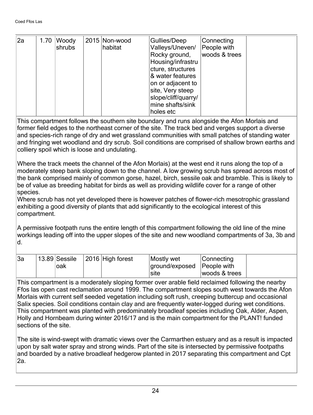| $\vert$ 2a | 1.70 | Woody<br>shrubs | 2015 Non-wood<br>habitat | Gullies/Deep<br>Valleys/Uneven/<br>Rocky ground,<br>Housing/infrastru<br>cture, structures<br>& water features<br>on or adjacent to<br>site, Very steep<br>slope/cliff/quarry/ | Connecting<br>People with<br>woods & trees |  |
|------------|------|-----------------|--------------------------|--------------------------------------------------------------------------------------------------------------------------------------------------------------------------------|--------------------------------------------|--|
|            |      |                 |                          | mine shafts/sink<br>holes etc                                                                                                                                                  |                                            |  |

This compartment follows the southern site boundary and runs alongside the Afon Morlais and former field edges to the northeast corner of the site. The track bed and verges support a diverse and species-rich range of dry and wet grassland communities with small patches of standing water and fringing wet woodland and dry scrub. Soil conditions are comprised of shallow brown earths and colliery spoil which is loose and undulating.

Where the track meets the channel of the Afon Morlais) at the west end it runs along the top of a moderately steep bank sloping down to the channel. A low growing scrub has spread across most of the bank comprised mainly of common gorse, hazel, birch, sessile oak and bramble. This is likely to be of value as breeding habitat for birds as well as providing wildlife cover for a range of other species.

Where scrub has not yet developed there is however patches of flower-rich mesotrophic grassland exhibiting a good diversity of plants that add significantly to the ecological interest of this compartment.

A permissive footpath runs the entire length of this compartment following the old line of the mine workings leading off into the upper slopes of the site and new woodland compartments of 3a, 3b and d.

| ∣3a | 13.89 Sessile | 2016 High forest | Mostly wet                   | Connecting    |
|-----|---------------|------------------|------------------------------|---------------|
|     |               |                  |                              |               |
|     | oak           |                  | ground/exposed   People with |               |
|     |               |                  | site                         | woods & trees |

This compartment is a moderately sloping former over arable field reclaimed following the nearby Ffos las open cast reclamation around 1999. The compartment slopes south west towards the Afon Morlais with current self seeded vegetation including soft rush, creeping buttercup and occasional Salix species. Soil conditions contain clay and are frequently water-logged during wet conditions. This compartment was planted with predominately broadleaf species including Oak, Alder, Aspen, Holly and Hornbeam during winter 2016/17 and is the main compartment for the PLANT! funded sections of the site.

The site is wind-swept with dramatic views over the Carmarthen estuary and as a result is impacted upon by salt water spray and strong winds. Part of the site is intersected by permissive footpaths and boarded by a native broadleaf hedgerow planted in 2017 separating this compartment and Cpt 2a.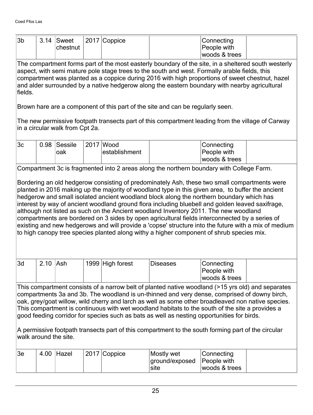| 3 <sub>b</sub>                                                                                                                                                                                                                                                                                                                                                                                                                                                                                                                                                                                                                          | 3.14                                                                                                                                                                                                                                                                                                                                                                                                                                                                                                                                                                                                                                                                                                                                                                                                                                                                                        | Sweet<br>chestnut               |  | 2017 Coppice               |                                                                                                                                                                                     | Connecting<br>People with<br>woods & trees |  |  |  |  |
|-----------------------------------------------------------------------------------------------------------------------------------------------------------------------------------------------------------------------------------------------------------------------------------------------------------------------------------------------------------------------------------------------------------------------------------------------------------------------------------------------------------------------------------------------------------------------------------------------------------------------------------------|---------------------------------------------------------------------------------------------------------------------------------------------------------------------------------------------------------------------------------------------------------------------------------------------------------------------------------------------------------------------------------------------------------------------------------------------------------------------------------------------------------------------------------------------------------------------------------------------------------------------------------------------------------------------------------------------------------------------------------------------------------------------------------------------------------------------------------------------------------------------------------------------|---------------------------------|--|----------------------------|-------------------------------------------------------------------------------------------------------------------------------------------------------------------------------------|--------------------------------------------|--|--|--|--|
| The compartment forms part of the most easterly boundary of the site, in a sheltered south westerly<br>aspect, with semi mature pole stage trees to the south and west. Formally arable fields, this<br>compartment was planted as a coppice during 2016 with high proportions of sweet chestnut, hazel<br>and alder surrounded by a native hedgerow along the eastern boundary with nearby agricultural<br>fields.                                                                                                                                                                                                                     |                                                                                                                                                                                                                                                                                                                                                                                                                                                                                                                                                                                                                                                                                                                                                                                                                                                                                             |                                 |  |                            |                                                                                                                                                                                     |                                            |  |  |  |  |
|                                                                                                                                                                                                                                                                                                                                                                                                                                                                                                                                                                                                                                         |                                                                                                                                                                                                                                                                                                                                                                                                                                                                                                                                                                                                                                                                                                                                                                                                                                                                                             |                                 |  |                            | Brown hare are a component of this part of the site and can be regularly seen.<br>The new permissive footpath transects part of this compartment leading from the village of Carway |                                            |  |  |  |  |
|                                                                                                                                                                                                                                                                                                                                                                                                                                                                                                                                                                                                                                         |                                                                                                                                                                                                                                                                                                                                                                                                                                                                                                                                                                                                                                                                                                                                                                                                                                                                                             | in a circular walk from Cpt 2a. |  |                            |                                                                                                                                                                                     |                                            |  |  |  |  |
| 3 <sub>c</sub>                                                                                                                                                                                                                                                                                                                                                                                                                                                                                                                                                                                                                          | 0.98                                                                                                                                                                                                                                                                                                                                                                                                                                                                                                                                                                                                                                                                                                                                                                                                                                                                                        | Sessile<br>oak                  |  | 2017 Wood<br>establishment |                                                                                                                                                                                     | Connecting<br>People with<br>woods & trees |  |  |  |  |
|                                                                                                                                                                                                                                                                                                                                                                                                                                                                                                                                                                                                                                         |                                                                                                                                                                                                                                                                                                                                                                                                                                                                                                                                                                                                                                                                                                                                                                                                                                                                                             |                                 |  |                            |                                                                                                                                                                                     |                                            |  |  |  |  |
| 3d                                                                                                                                                                                                                                                                                                                                                                                                                                                                                                                                                                                                                                      | Compartment 3c is fragmented into 2 areas along the northern boundary with College Farm.<br>Bordering an old hedgerow consisting of predominately Ash, these two small compartments were<br>planted in 2016 making up the majority of woodland type in this given area, to buffer the ancient<br>hedgerow and small isolated ancient woodland block along the northern boundary which has<br>interest by way of ancient woodland ground flora including bluebell and golden leaved saxifrage,<br>although not listed as such on the Ancient woodland Inventory 2011. The new woodland<br>compartments are bordered on 3 sides by open agricultural fields interconnected by a series of<br>existing and new hedgerows and will provide a 'copse' structure into the future with a mix of medium<br>to high canopy tree species planted along withy a higher component of shrub species mix. |                                 |  |                            |                                                                                                                                                                                     |                                            |  |  |  |  |
|                                                                                                                                                                                                                                                                                                                                                                                                                                                                                                                                                                                                                                         | 2.10                                                                                                                                                                                                                                                                                                                                                                                                                                                                                                                                                                                                                                                                                                                                                                                                                                                                                        | Ash                             |  | 1999 High forest           | <b>Diseases</b>                                                                                                                                                                     | Connecting<br>People with<br>woods & trees |  |  |  |  |
| This compartment consists of a narrow belt of planted native woodland (>15 yrs old) and separates<br>compartments 3a and 3b. The woodland is un-thinned and very dense, comprised of downy birch,<br>oak, grey/goat willow, wild cherry and larch as well as some other broadleaved non native species.<br>This compartment is continuous with wet woodland habitats to the south of the site a provides a<br>good feeding corridor for species such as bats as well as nesting opportunities for birds.<br>A permissive footpath transects part of this compartment to the south forming part of the circular<br>walk around the site. |                                                                                                                                                                                                                                                                                                                                                                                                                                                                                                                                                                                                                                                                                                                                                                                                                                                                                             |                                 |  |                            |                                                                                                                                                                                     |                                            |  |  |  |  |
| 3e                                                                                                                                                                                                                                                                                                                                                                                                                                                                                                                                                                                                                                      | 4.00                                                                                                                                                                                                                                                                                                                                                                                                                                                                                                                                                                                                                                                                                                                                                                                                                                                                                        | Hazel                           |  | 2017 Coppice               | Mostly wet<br>ground/exposed<br>site                                                                                                                                                | Connecting<br>People with<br>woods & trees |  |  |  |  |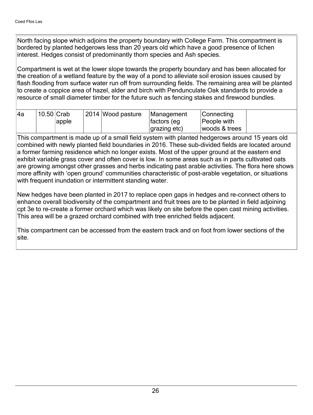North facing slope which adjoins the property boundary with College Farm. This compartment is bordered by planted hedgerows less than 20 years old which have a good presence of lichen interest. Hedges consist of predominantly thorn species and Ash species.

Compartment is wet at the lower slope towards the property boundary and has been allocated for the creation of a wetland feature by the way of a pond to alleviate soil erosion issues caused by flash flooding from surface water run off from surrounding fields. The remaining area will be planted to create a coppice area of hazel, alder and birch with Pendunculate Oak standards to provide a resource of small diameter timber for the future such as fencing stakes and firewood bundles.

| 14a | $10.50$ Crab |              | 2014 Wood pasture | Management            | Connecting    |
|-----|--------------|--------------|-------------------|-----------------------|---------------|
|     |              | <i>apple</i> |                   | factors (eg           | People with   |
|     |              |              |                   | $ grazing etc\rangle$ | woods & trees |

This compartment is made up of a small field system with planted hedgerows around 15 years old combined with newly planted field boundaries in 2016. These sub-divided fields are located around a former farming residence which no longer exists. Most of the upper ground at the eastern end exhibit variable grass cover and often cover is low. In some areas such as in parts cultivated oats are growing amongst other grasses and herbs indicating past arable activities. The flora here shows more affinity with 'open ground' communities characteristic of post-arable vegetation, or situations with frequent inundation or intermittent standing water.

New hedges have been planted in 2017 to replace open gaps in hedges and re-connect others to enhance overall biodiversity of the compartment and fruit trees are to be planted in field adjoining cpt 3e to re-create a former orchard which was likely on site before the open cast mining activities. This area will be a grazed orchard combined with tree enriched fields adjacent.

This compartment can be accessed from the eastern track and on foot from lower sections of the site.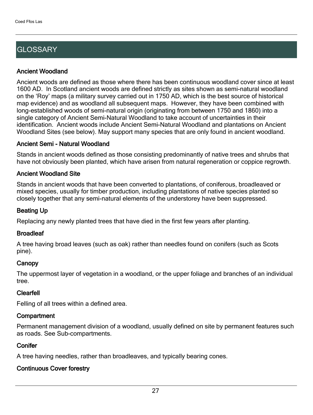# **GLOSSARY**

#### Ancient Woodland

Ancient woods are defined as those where there has been continuous woodland cover since at least 1600 AD. In Scotland ancient woods are defined strictly as sites shown as semi-natural woodland on the 'Roy' maps (a military survey carried out in 1750 AD, which is the best source of historical map evidence) and as woodland all subsequent maps. However, they have been combined with long-established woods of semi-natural origin (originating from between 1750 and 1860) into a single category of Ancient Semi-Natural Woodland to take account of uncertainties in their identification. Ancient woods include Ancient Semi-Natural Woodland and plantations on Ancient Woodland Sites (see below). May support many species that are only found in ancient woodland.

#### Ancient Semi - Natural Woodland

Stands in ancient woods defined as those consisting predominantly of native trees and shrubs that have not obviously been planted, which have arisen from natural regeneration or coppice regrowth.

#### Ancient Woodland Site

Stands in ancient woods that have been converted to plantations, of coniferous, broadleaved or mixed species, usually for timber production, including plantations of native species planted so closely together that any semi-natural elements of the understorey have been suppressed.

#### Beating Up

Replacing any newly planted trees that have died in the first few years after planting.

#### **Broadleaf**

A tree having broad leaves (such as oak) rather than needles found on conifers (such as Scots pine).

#### **Canopy**

The uppermost layer of vegetation in a woodland, or the upper foliage and branches of an individual tree.

#### Clearfell

Felling of all trees within a defined area.

#### **Compartment**

Permanent management division of a woodland, usually defined on site by permanent features such as roads. See Sub-compartments.

#### **Conifer**

A tree having needles, rather than broadleaves, and typically bearing cones.

#### Continuous Cover forestry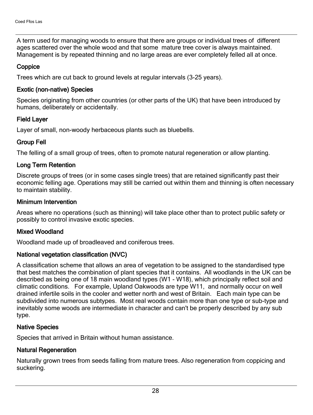A term used for managing woods to ensure that there are groups or individual trees of different ages scattered over the whole wood and that some mature tree cover is always maintained. Management is by repeated thinning and no large areas are ever completely felled all at once.

#### **Coppice**

Trees which are cut back to ground levels at regular intervals (3-25 years).

#### Exotic (non-native) Species

Species originating from other countries (or other parts of the UK) that have been introduced by humans, deliberately or accidentally.

#### Field Layer

Layer of small, non-woody herbaceous plants such as bluebells.

#### Group Fell

The felling of a small group of trees, often to promote natural regeneration or allow planting.

#### Long Term Retention

Discrete groups of trees (or in some cases single trees) that are retained significantly past their economic felling age. Operations may still be carried out within them and thinning is often necessary to maintain stability.

#### Minimum Intervention

Areas where no operations (such as thinning) will take place other than to protect public safety or possibly to control invasive exotic species.

#### Mixed Woodland

Woodland made up of broadleaved and coniferous trees.

#### National vegetation classification (NVC)

A classification scheme that allows an area of vegetation to be assigned to the standardised type that best matches the combination of plant species that it contains. All woodlands in the UK can be described as being one of 18 main woodland types (W1 - W18), which principally reflect soil and climatic conditions. For example, Upland Oakwoods are type W11, and normally occur on well drained infertile soils in the cooler and wetter north and west of Britain. Each main type can be subdivided into numerous subtypes. Most real woods contain more than one type or sub-type and inevitably some woods are intermediate in character and can't be properly described by any sub type.

#### Native Species

Species that arrived in Britain without human assistance.

#### Natural Regeneration

Naturally grown trees from seeds falling from mature trees. Also regeneration from coppicing and suckering.